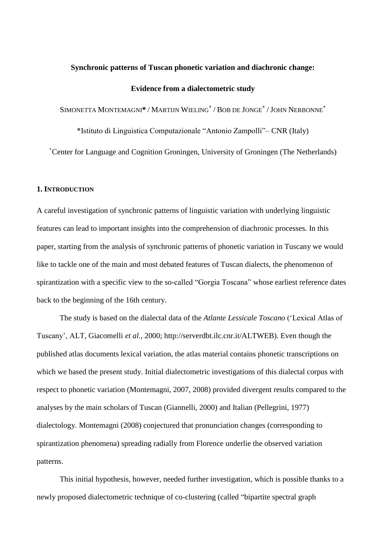# **Synchronic patterns of Tuscan phonetic variation and diachronic change: Evidence from a dialectometric study**

SIMONETTA MONTEMAGNI**\*** / MARTIJN WIELING**<sup>+</sup>** / BOB DE JONGE**<sup>+</sup>** /JOHN NERBONNE**<sup>+</sup>**

\*Istituto di Linguistica Computazionale "Antonio Zampolli"– CNR (Italy)

<sup>+</sup>Center for Language and Cognition Groningen, University of Groningen (The Netherlands)

# **1. INTRODUCTION**

A careful investigation of synchronic patterns of linguistic variation with underlying linguistic features can lead to important insights into the comprehension of diachronic processes. In this paper, starting from the analysis of synchronic patterns of phonetic variation in Tuscany we would like to tackle one of the main and most debated features of Tuscan dialects, the phenomenon of spirantization with a specific view to the so-called "Gorgia Toscana" whose earliest reference dates back to the beginning of the 16th century.

The study is based on the dialectal data of the *Atlante Lessicale Toscano* ("Lexical Atlas of Tuscany", ALT, Giacomelli *et al.*, 2000; http://serverdbt.ilc.cnr.it/ALTWEB). Even though the published atlas documents lexical variation, the atlas material contains phonetic transcriptions on which we based the present study. Initial dialectometric investigations of this dialectal corpus with respect to phonetic variation (Montemagni, 2007, 2008) provided divergent results compared to the analyses by the main scholars of Tuscan (Giannelli, 2000) and Italian (Pellegrini, 1977) dialectology. Montemagni (2008) conjectured that pronunciation changes (corresponding to spirantization phenomena) spreading radially from Florence underlie the observed variation patterns.

This initial hypothesis, however, needed further investigation, which is possible thanks to a newly proposed dialectometric technique of co-clustering (called "bipartite spectral graph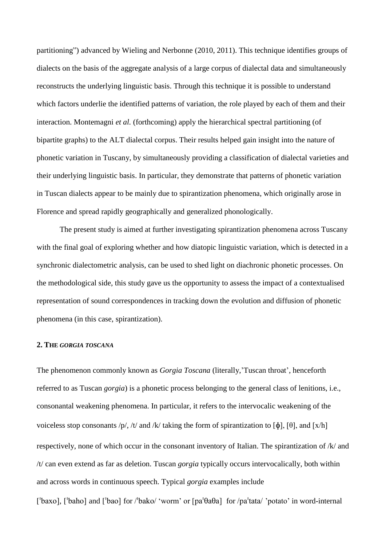partitioning") advanced by Wieling and Nerbonne (2010, 2011). This technique identifies groups of dialects on the basis of the aggregate analysis of a large corpus of dialectal data and simultaneously reconstructs the underlying linguistic basis. Through this technique it is possible to understand which factors underlie the identified patterns of variation, the role played by each of them and their interaction. Montemagni *et al.* (forthcoming) apply the hierarchical spectral partitioning (of bipartite graphs) to the ALT dialectal corpus. Their results helped gain insight into the nature of phonetic variation in Tuscany, by simultaneously providing a classification of dialectal varieties and their underlying linguistic basis. In particular, they demonstrate that patterns of phonetic variation in Tuscan dialects appear to be mainly due to spirantization phenomena, which originally arose in Florence and spread rapidly geographically and generalized phonologically.

The present study is aimed at further investigating spirantization phenomena across Tuscany with the final goal of exploring whether and how diatopic linguistic variation, which is detected in a synchronic dialectometric analysis, can be used to shed light on diachronic phonetic processes. On the methodological side, this study gave us the opportunity to assess the impact of a contextualised representation of sound correspondences in tracking down the evolution and diffusion of phonetic phenomena (in this case, spirantization).

#### **2. THE** *GORGIA TOSCANA*

The phenomenon commonly known as *Gorgia Toscana* (literally,"Tuscan throat", henceforth referred to as Tuscan *gorgia*) is a phonetic process belonging to the general class of lenitions, i.e., consonantal weakening phenomena. In particular, it refers to the intervocalic weakening of the voiceless stop consonants /p/, /t/ and /k/ taking the form of spirantization to  $[\phi]$ ,  $[\theta]$ , and  $[x/h]$ respectively, none of which occur in the consonant inventory of Italian. The spirantization of /k/ and /t/ can even extend as far as deletion. Tuscan *gorgia* typically occurs intervocalically, both within and across words in continuous speech. Typical *gorgia* examples include

 $\lceil \frac{1}{2} \cdot \frac{1}{2} \cdot \frac{1}{2} \cdot \frac{1}{2} \cdot \frac{1}{2} \cdot \frac{1}{2} \cdot \frac{1}{2} \cdot \frac{1}{2} \cdot \frac{1}{2} \cdot \frac{1}{2} \cdot \frac{1}{2} \cdot \frac{1}{2} \cdot \frac{1}{2} \cdot \frac{1}{2} \cdot \frac{1}{2} \cdot \frac{1}{2} \cdot \frac{1}{2} \cdot \frac{1}{2} \cdot \frac{1}{2} \cdot \frac{1}{2} \cdot \frac{1}{2} \cdot \frac{1}{2} \cdot \frac{1}{2} \cdot \frac{1}{2} \cdot \$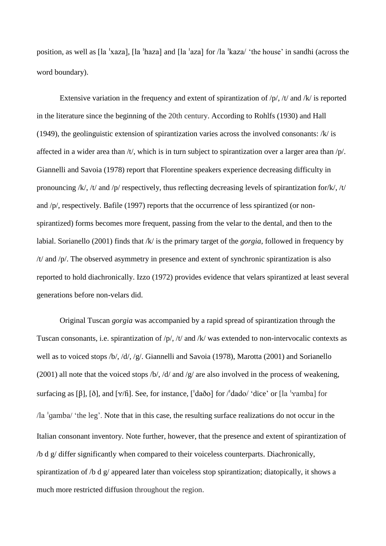position, as well as  $\lceil \ln \cdot \frac{x}{a} \rceil$ ,  $\lceil \ln \cdot \frac{x}{a} \rceil$  and  $\lceil \ln \cdot \frac{x}{a} \rceil$  for  $\lceil \ln \cdot \frac{x}{a} \rceil$  and  $\lceil \ln \cdot \frac{x}{a} \rceil$  in sandhi (across the word boundary).

Extensive variation in the frequency and extent of spirantization of  $/p/$ ,  $/t/$  and  $/k/$  is reported in the literature since the beginning of the 20th century. According to Rohlfs (1930) and Hall (1949), the geolinguistic extension of spirantization varies across the involved consonants: /k/ is affected in a wider area than /t/, which is in turn subject to spirantization over a larger area than /p/. Giannelli and Savoia (1978) report that Florentine speakers experience decreasing difficulty in pronouncing /k/, /t/ and /p/ respectively, thus reflecting decreasing levels of spirantization for/k/, /t/ and /p/, respectively. Bafile (1997) reports that the occurrence of less spirantized (or nonspirantized) forms becomes more frequent, passing from the velar to the dental, and then to the labial. Sorianello (2001) finds that /k/ is the primary target of the *gorgia*, followed in frequency by /t/ and /p/. The observed asymmetry in presence and extent of synchronic spirantization is also reported to hold diachronically. Izzo (1972) provides evidence that velars spirantized at least several generations before non-velars did.

Original Tuscan *gorgia* was accompanied by a rapid spread of spirantization through the Tuscan consonants, i.e. spirantization of /p/, /t/ and /k/ was extended to non-intervocalic contexts as well as to voiced stops /b/, /d/, /g/. Giannelli and Savoia (1978), Marotta (2001) and Sorianello (2001) all note that the voiced stops  $/b/$ ,  $/d/$  and  $/g/$  are also involved in the process of weakening, surfacing as [ $\beta$ ],  $\delta$ ], and  $\lceil \frac{\gamma}{\hbar} \rceil$ . See, for instance,  $\lceil \frac{\dagger}{\hbar} \frac{\dagger}{\delta} \rceil$  for  $\ell$  dado/ 'dice' or  $\lceil \frac{\dagger}{\hbar} \frac{\dagger}{\hbar} \frac{\dagger}{\hbar} \frac{\dagger}{\hbar} \frac{\dagger}{\hbar} \frac{\dagger}{\hbar} \frac{\dagger}{\hbar} \frac{\dagger}{\hbar} \frac{\dagger}{\hbar} \frac{\d$ /la 'qamba/ 'the leg'. Note that in this case, the resulting surface realizations do not occur in the Italian consonant inventory. Note further, however, that the presence and extent of spirantization of /b d g/ differ significantly when compared to their voiceless counterparts. Diachronically, spirantization of /b d g/ appeared later than voiceless stop spirantization; diatopically, it shows a much more restricted diffusion throughout the region.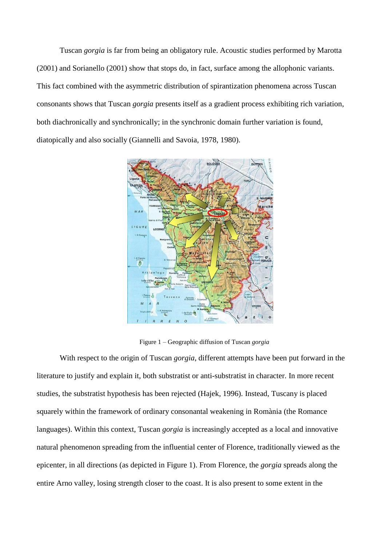Tuscan *gorgia* is far from being an obligatory rule. Acoustic studies performed by Marotta (2001) and Sorianello (2001) show that stops do, in fact, surface among the allophonic variants. This fact combined with the asymmetric distribution of spirantization phenomena across Tuscan consonants shows that Tuscan *gorgia* presents itself as a gradient process exhibiting rich variation, both diachronically and synchronically; in the synchronic domain further variation is found, diatopically and also socially (Giannelli and Savoia, 1978, 1980).



Figure 1 – Geographic diffusion of Tuscan *gorgia*

With respect to the origin of Tuscan *gorgia*, different attempts have been put forward in the literature to justify and explain it, both substratist or anti-substratist in character. In more recent studies, the substratist hypothesis has been rejected (Hajek, 1996). Instead, Tuscany is placed squarely within the framework of ordinary consonantal weakening in Romània (the Romance languages). Within this context, Tuscan *gorgia* is increasingly accepted as a local and innovative natural phenomenon spreading from the influential center of Florence, traditionally viewed as the epicenter, in all directions (as depicted in Figure 1). From Florence, the *gorgia* spreads along the entire Arno valley, losing strength closer to the coast. It is also present to some extent in the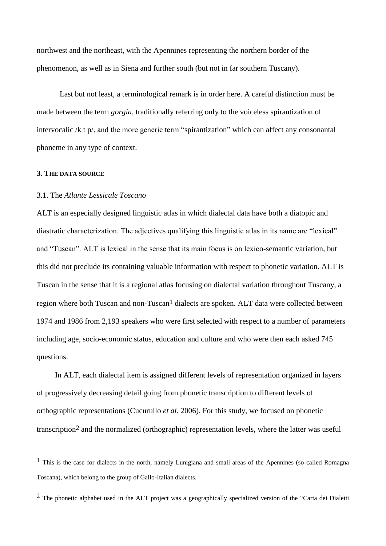northwest and the northeast, with the Apennines representing the northern border of the phenomenon, as well as in Siena and further south (but not in far southern Tuscany).

Last but not least, a terminological remark is in order here. A careful distinction must be made between the term *gorgia*, traditionally referring only to the voiceless spirantization of intervocalic /k t p/, and the more generic term "spirantization" which can affect any consonantal phoneme in any type of context.

#### **3. THE DATA SOURCE**

<u>.</u>

# 3.1. The *Atlante Lessicale Toscano*

ALT is an especially designed linguistic atlas in which dialectal data have both a diatopic and diastratic characterization. The adjectives qualifying this linguistic atlas in its name are "lexical" and "Tuscan". ALT is lexical in the sense that its main focus is on lexico-semantic variation, but this did not preclude its containing valuable information with respect to phonetic variation. ALT is Tuscan in the sense that it is a regional atlas focusing on dialectal variation throughout Tuscany, a region where both Tuscan and non-Tuscan<sup>1</sup> dialects are spoken. ALT data were collected between 1974 and 1986 from 2,193 speakers who were first selected with respect to a number of parameters including age, socio-economic status, education and culture and who were then each asked 745 questions.

In ALT, each dialectal item is assigned different levels of representation organized in layers of progressively decreasing detail going from phonetic transcription to different levels of orthographic representations (Cucurullo *et al.* 2006). For this study, we focused on phonetic transcription2 and the normalized (orthographic) representation levels, where the latter was useful

 $<sup>1</sup>$  This is the case for dialects in the north, namely Lunigiana and small areas of the Apennines (so-called Romagna</sup> Toscana), which belong to the group of Gallo-Italian dialects.

<sup>&</sup>lt;sup>2</sup> The phonetic alphabet used in the ALT project was a geographically specialized version of the "Carta dei Dialetti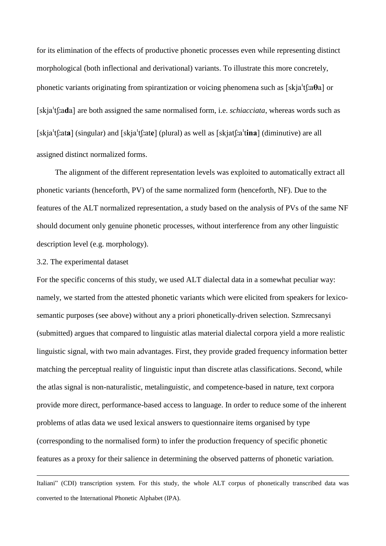for its elimination of the effects of productive phonetic processes even while representing distinct morphological (both inflectional and derivational) variants. To illustrate this more concretely, phonetic variants originating from spirantization or voicing phenomena such as  $[skja'tf:a\theta a]$  or Iskia<sup>'</sup>tf:ada] are both assigned the same normalised form, i.e. *schiacciata*, whereas words such as [skja $tf$ :ata] (singular) and [skja $tf$ :ate] (plural) as well as [skjat $f$ :a $'t$ **ina**] (diminutive) are all assigned distinct normalized forms.

The alignment of the different representation levels was exploited to automatically extract all phonetic variants (henceforth, PV) of the same normalized form (henceforth, NF). Due to the features of the ALT normalized representation, a study based on the analysis of PVs of the same NF should document only genuine phonetic processes, without interference from any other linguistic description level (e.g. morphology).

# 3.2. The experimental dataset

1

For the specific concerns of this study, we used ALT dialectal data in a somewhat peculiar way: namely, we started from the attested phonetic variants which were elicited from speakers for lexicosemantic purposes (see above) without any a priori phonetically-driven selection. Szmrecsanyi (submitted) argues that compared to linguistic atlas material dialectal corpora yield a more realistic linguistic signal, with two main advantages. First, they provide graded frequency information better matching the perceptual reality of linguistic input than discrete atlas classifications. Second, while the atlas signal is non-naturalistic, metalinguistic, and competence-based in nature, text corpora provide more direct, performance-based access to language. In order to reduce some of the inherent problems of atlas data we used lexical answers to questionnaire items organised by type (corresponding to the normalised form) to infer the production frequency of specific phonetic features as a proxy for their salience in determining the observed patterns of phonetic variation.

Italiani" (CDI) transcription system. For this study, the whole ALT corpus of phonetically transcribed data was converted to the International Phonetic Alphabet (IPA).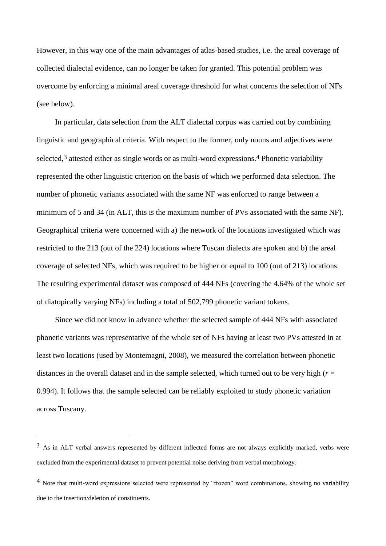However, in this way one of the main advantages of atlas-based studies, i.e. the areal coverage of collected dialectal evidence, can no longer be taken for granted. This potential problem was overcome by enforcing a minimal areal coverage threshold for what concerns the selection of NFs (see below).

In particular, data selection from the ALT dialectal corpus was carried out by combining linguistic and geographical criteria. With respect to the former, only nouns and adjectives were selected,  $3$  attested either as single words or as multi-word expressions.<sup>4</sup> Phonetic variability represented the other linguistic criterion on the basis of which we performed data selection. The number of phonetic variants associated with the same NF was enforced to range between a minimum of 5 and 34 (in ALT, this is the maximum number of PVs associated with the same NF). Geographical criteria were concerned with a) the network of the locations investigated which was restricted to the 213 (out of the 224) locations where Tuscan dialects are spoken and b) the areal coverage of selected NFs, which was required to be higher or equal to 100 (out of 213) locations. The resulting experimental dataset was composed of 444 NFs (covering the 4.64% of the whole set of diatopically varying NFs) including a total of 502,799 phonetic variant tokens.

Since we did not know in advance whether the selected sample of 444 NFs with associated phonetic variants was representative of the whole set of NFs having at least two PVs attested in at least two locations (used by Montemagni, 2008), we measured the correlation between phonetic distances in the overall dataset and in the sample selected, which turned out to be very high  $(r =$ 0.994). It follows that the sample selected can be reliably exploited to study phonetic variation across Tuscany.

1

 $3$  As in ALT verbal answers represented by different inflected forms are not always explicitly marked, verbs were excluded from the experimental dataset to prevent potential noise deriving from verbal morphology.

<sup>4</sup> Note that multi-word expressions selected were represented by "frozen" word combinations, showing no variability due to the insertion/deletion of constituents.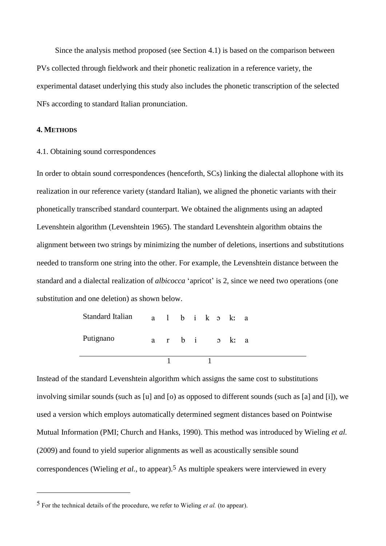Since the analysis method proposed (see Section 4.1) is based on the comparison between PVs collected through fieldwork and their phonetic realization in a reference variety, the experimental dataset underlying this study also includes the phonetic transcription of the selected NFs according to standard Italian pronunciation.

# **4. METHODS**

<u>.</u>

#### 4.1. Obtaining sound correspondences

In order to obtain sound correspondences (henceforth, SCs) linking the dialectal allophone with its realization in our reference variety (standard Italian), we aligned the phonetic variants with their phonetically transcribed standard counterpart. We obtained the alignments using an adapted Levenshtein algorithm (Levenshtein 1965). The standard Levenshtein algorithm obtains the alignment between two strings by minimizing the number of deletions, insertions and substitutions needed to transform one string into the other. For example, the Levenshtein distance between the standard and a dialectal realization of *albicocca* 'apricot' is 2, since we need two operations (one substitution and one deletion) as shown below.

| Standard Italian |  |  |  | albikoka |  |
|------------------|--|--|--|----------|--|
| Putignano        |  |  |  | arbi oka |  |
|                  |  |  |  |          |  |

Instead of the standard Levenshtein algorithm which assigns the same cost to substitutions involving similar sounds (such as [u] and [o) as opposed to different sounds (such as [a] and [i]), we used a version which employs automatically determined segment distances based on Pointwise Mutual Information (PMI; Church and Hanks, 1990). This method was introduced by Wieling *et al.* (2009) and found to yield superior alignments as well as acoustically sensible sound correspondences (Wieling *et al.*, to appear).5 As multiple speakers were interviewed in every

<sup>5</sup> For the technical details of the procedure, we refer to Wieling *et al.* (to appear).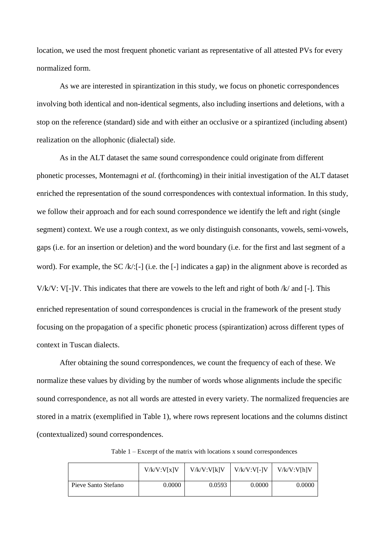location, we used the most frequent phonetic variant as representative of all attested PVs for every normalized form.

As we are interested in spirantization in this study, we focus on phonetic correspondences involving both identical and non-identical segments, also including insertions and deletions, with a stop on the reference (standard) side and with either an occlusive or a spirantized (including absent) realization on the allophonic (dialectal) side.

As in the ALT dataset the same sound correspondence could originate from different phonetic processes, Montemagni *et al.* (forthcoming) in their initial investigation of the ALT dataset enriched the representation of the sound correspondences with contextual information. In this study, we follow their approach and for each sound correspondence we identify the left and right (single segment) context. We use a rough context, as we only distinguish consonants, vowels, semi-vowels, gaps (i.e. for an insertion or deletion) and the word boundary (i.e. for the first and last segment of a word). For example, the SC /k/:[-] (i.e. the [-] indicates a gap) in the alignment above is recorded as V/ $k/V$ : V[-]V. This indicates that there are vowels to the left and right of both  $k/$  and [-]. This enriched representation of sound correspondences is crucial in the framework of the present study focusing on the propagation of a specific phonetic process (spirantization) across different types of context in Tuscan dialects.

After obtaining the sound correspondences, we count the frequency of each of these. We normalize these values by dividing by the number of words whose alignments include the specific sound correspondence, as not all words are attested in every variety. The normalized frequencies are stored in a matrix (exemplified in Table 1), where rows represent locations and the columns distinct (contextualized) sound correspondences.

Table 1 – Excerpt of the matrix with locations x sound correspondences

|                     | V/k/V:V[x]V | V/k/V:V[k]V | $V/k/V:VI-IV$ | V/k/V:V[h]V |
|---------------------|-------------|-------------|---------------|-------------|
| Pieve Santo Stefano | 0.0000      | 0.0593      | 0.0000        | 0.0000      |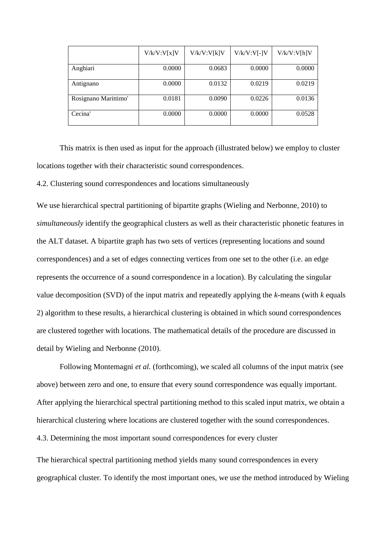|                      | V/k/V:V[x]V | V/k/V:V[k]V | $V/k/V:V[-]V$ | V/k/V:V[h]V |
|----------------------|-------------|-------------|---------------|-------------|
| Anghiari             | 0.0000      | 0.0683      | 0.0000        | 0.0000      |
| Antignano            | 0.0000      | 0.0132      | 0.0219        | 0.0219      |
| Rosignano Marittimo' | 0.0181      | 0.0090      | 0.0226        | 0.0136      |
| Cecina'              | 0.0000      | 0.0000      | 0.0000        | 0.0528      |

This matrix is then used as input for the approach (illustrated below) we employ to cluster locations together with their characteristic sound correspondences.

4.2. Clustering sound correspondences and locations simultaneously

We use hierarchical spectral partitioning of bipartite graphs (Wieling and Nerbonne, 2010) to *simultaneously* identify the geographical clusters as well as their characteristic phonetic features in the ALT dataset. A bipartite graph has two sets of vertices (representing locations and sound correspondences) and a set of edges connecting vertices from one set to the other (i.e. an edge represents the occurrence of a sound correspondence in a location). By calculating the singular value decomposition (SVD) of the input matrix and repeatedly applying the *k*-means (with *k* equals 2) algorithm to these results, a hierarchical clustering is obtained in which sound correspondences are clustered together with locations. The mathematical details of the procedure are discussed in detail by Wieling and Nerbonne (2010).

Following Montemagni *et al.* (forthcoming), we scaled all columns of the input matrix (see above) between zero and one, to ensure that every sound correspondence was equally important. After applying the hierarchical spectral partitioning method to this scaled input matrix, we obtain a hierarchical clustering where locations are clustered together with the sound correspondences. 4.3. Determining the most important sound correspondences for every cluster

The hierarchical spectral partitioning method yields many sound correspondences in every geographical cluster. To identify the most important ones, we use the method introduced by Wieling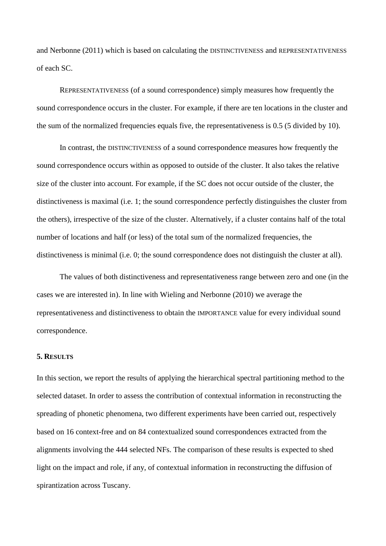and Nerbonne (2011) which is based on calculating the DISTINCTIVENESS and REPRESENTATIVENESS of each SC.

REPRESENTATIVENESS (of a sound correspondence) simply measures how frequently the sound correspondence occurs in the cluster. For example, if there are ten locations in the cluster and the sum of the normalized frequencies equals five, the representativeness is 0.5 (5 divided by 10).

In contrast, the DISTINCTIVENESS of a sound correspondence measures how frequently the sound correspondence occurs within as opposed to outside of the cluster. It also takes the relative size of the cluster into account. For example, if the SC does not occur outside of the cluster, the distinctiveness is maximal (i.e. 1; the sound correspondence perfectly distinguishes the cluster from the others), irrespective of the size of the cluster. Alternatively, if a cluster contains half of the total number of locations and half (or less) of the total sum of the normalized frequencies, the distinctiveness is minimal (i.e. 0; the sound correspondence does not distinguish the cluster at all).

The values of both distinctiveness and representativeness range between zero and one (in the cases we are interested in). In line with Wieling and Nerbonne (2010) we average the representativeness and distinctiveness to obtain the IMPORTANCE value for every individual sound correspondence.

### **5. RESULTS**

In this section, we report the results of applying the hierarchical spectral partitioning method to the selected dataset. In order to assess the contribution of contextual information in reconstructing the spreading of phonetic phenomena, two different experiments have been carried out, respectively based on 16 context-free and on 84 contextualized sound correspondences extracted from the alignments involving the 444 selected NFs. The comparison of these results is expected to shed light on the impact and role, if any, of contextual information in reconstructing the diffusion of spirantization across Tuscany.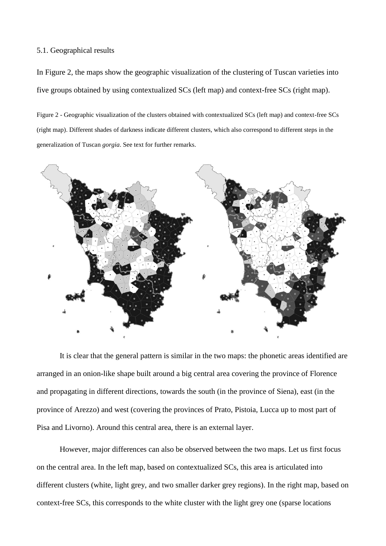## 5.1. Geographical results

In Figure 2, the maps show the geographic visualization of the clustering of Tuscan varieties into five groups obtained by using contextualized SCs (left map) and context-free SCs (right map).

Figure 2 - Geographic visualization of the clusters obtained with contextualized SCs (left map) and context-free SCs (right map). Different shades of darkness indicate different clusters, which also correspond to different steps in the generalization of Tuscan *gorgia*. See text for further remarks.



It is clear that the general pattern is similar in the two maps: the phonetic areas identified are arranged in an onion-like shape built around a big central area covering the province of Florence and propagating in different directions, towards the south (in the province of Siena), east (in the province of Arezzo) and west (covering the provinces of Prato, Pistoia, Lucca up to most part of Pisa and Livorno). Around this central area, there is an external layer.

However, major differences can also be observed between the two maps. Let us first focus on the central area. In the left map, based on contextualized SCs, this area is articulated into different clusters (white, light grey, and two smaller darker grey regions). In the right map, based on context-free SCs, this corresponds to the white cluster with the light grey one (sparse locations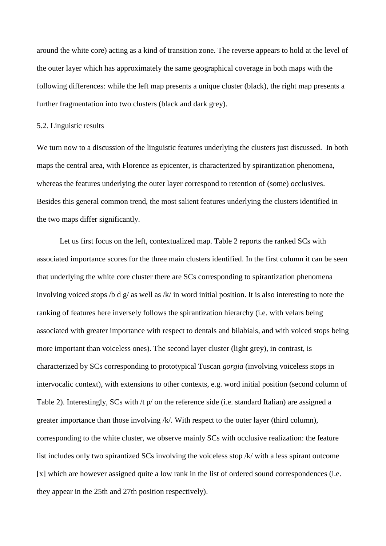around the white core) acting as a kind of transition zone. The reverse appears to hold at the level of the outer layer which has approximately the same geographical coverage in both maps with the following differences: while the left map presents a unique cluster (black), the right map presents a further fragmentation into two clusters (black and dark grey).

#### 5.2. Linguistic results

We turn now to a discussion of the linguistic features underlying the clusters just discussed. In both maps the central area, with Florence as epicenter, is characterized by spirantization phenomena, whereas the features underlying the outer layer correspond to retention of (some) occlusives. Besides this general common trend, the most salient features underlying the clusters identified in the two maps differ significantly.

Let us first focus on the left, contextualized map. Table 2 reports the ranked SCs with associated importance scores for the three main clusters identified. In the first column it can be seen that underlying the white core cluster there are SCs corresponding to spirantization phenomena involving voiced stops /b d g/ as well as /k/ in word initial position. It is also interesting to note the ranking of features here inversely follows the spirantization hierarchy (i.e. with velars being associated with greater importance with respect to dentals and bilabials, and with voiced stops being more important than voiceless ones). The second layer cluster (light grey), in contrast, is characterized by SCs corresponding to prototypical Tuscan *gorgia* (involving voiceless stops in intervocalic context), with extensions to other contexts, e.g. word initial position (second column of Table 2). Interestingly, SCs with /t p/ on the reference side (i.e. standard Italian) are assigned a greater importance than those involving /k/. With respect to the outer layer (third column), corresponding to the white cluster, we observe mainly SCs with occlusive realization: the feature list includes only two spirantized SCs involving the voiceless stop /k/ with a less spirant outcome [x] which are however assigned quite a low rank in the list of ordered sound correspondences (i.e. they appear in the 25th and 27th position respectively).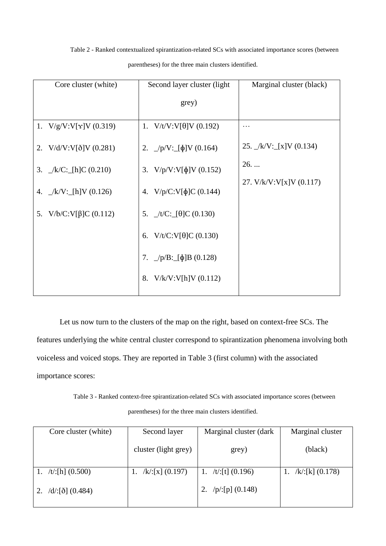Table 2 - Ranked contextualized spirantization-related SCs with associated importance scores (between parentheses) for the three main clusters identified.

| Core cluster (white)           | Second layer cluster (light)            | Marginal cluster (black)        |
|--------------------------------|-----------------------------------------|---------------------------------|
|                                | grey)                                   |                                 |
| 1. $V/g/V:V[\gamma]V(0.319)$   | 1. $V/t/V: V[\theta]V(0.192)$           | $\cdots$                        |
| 2. $V/d/V:V[\delta]V(0.281)$   | 2. $\angle p/V$ : [ $\phi$ ]V (0.164)   | 25. $\angle k/V$ : [x]V (0.134) |
| 3. $\angle k/C$ : [h]C (0.210) | 3. $V/p/V:V[\phi]V(0.152)$              | $26.$                           |
| 4. $\angle k/V$ : [h]V (0.126) | 4. $V/p/C:V[\phi]C(0.144)$              | 27. V/k/V:V[x]V (0.117)         |
| 5. $V/b/C:V[\beta]C (0.112)$   | 5. $\angle t/C$ : [ $\theta$ ]C (0.130) |                                 |
|                                | 6. $V/t/C:V[\theta]C (0.130)$           |                                 |
|                                | 7. $\angle p/B$ : $[\phi]B$ (0.128)     |                                 |
|                                | V/k/V:V[h]V (0.112)<br>8.               |                                 |
|                                |                                         |                                 |

Let us now turn to the clusters of the map on the right, based on context-free SCs. The features underlying the white central cluster correspond to spirantization phenomena involving both voiceless and voiced stops. They are reported in Table 3 (first column) with the associated importance scores:

Table 3 - Ranked context-free spirantization-related SCs with associated importance scores (between parentheses) for the three main clusters identified.

| Core cluster (white)           | Second layer         | Marginal cluster (dark | Marginal cluster    |
|--------------------------------|----------------------|------------------------|---------------------|
|                                | cluster (light grey) | grey)                  | (black)             |
| /t/:[h] $(0.500)$              | /k/:[x] $(0.197)$    | 1. /t/:[t] $(0.196)$   | $/k$ :[k] $(0.178)$ |
| 2. $/d$ : [ $\delta$ ] (0.484) |                      | 2. $/p/[p]$ (0.148)    |                     |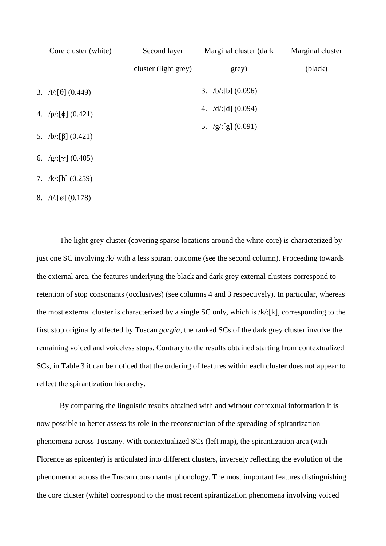| Core cluster (white)        | Second layer         | Marginal cluster (dark    | Marginal cluster |
|-----------------------------|----------------------|---------------------------|------------------|
|                             | cluster (light grey) | grey)                     | (black)          |
| 3. /t/:[ $\theta$ ] (0.449) |                      | $/b$ :[b] (0.096)<br>3.   |                  |
| 4. $/p/:[\phi]$ (0.421)     |                      | $/d$ :[d] $(0.094)$<br>4. |                  |
| 5. $/b: [\beta] (0.421)$    |                      | /g/[g](0.091)<br>5.       |                  |
| 6. $/g'[x]$ (0.405)         |                      |                           |                  |
| 7. $/k/[h]$ (0.259)         |                      |                           |                  |
| 8.<br>/t/:[ø] $(0.178)$     |                      |                           |                  |
|                             |                      |                           |                  |

The light grey cluster (covering sparse locations around the white core) is characterized by just one SC involving /k/ with a less spirant outcome (see the second column). Proceeding towards the external area, the features underlying the black and dark grey external clusters correspond to retention of stop consonants (occlusives) (see columns 4 and 3 respectively). In particular, whereas the most external cluster is characterized by a single SC only, which is /k/:[k], corresponding to the first stop originally affected by Tuscan *gorgia*, the ranked SCs of the dark grey cluster involve the remaining voiced and voiceless stops. Contrary to the results obtained starting from contextualized SCs, in Table 3 it can be noticed that the ordering of features within each cluster does not appear to reflect the spirantization hierarchy.

By comparing the linguistic results obtained with and without contextual information it is now possible to better assess its role in the reconstruction of the spreading of spirantization phenomena across Tuscany. With contextualized SCs (left map), the spirantization area (with Florence as epicenter) is articulated into different clusters, inversely reflecting the evolution of the phenomenon across the Tuscan consonantal phonology. The most important features distinguishing the core cluster (white) correspond to the most recent spirantization phenomena involving voiced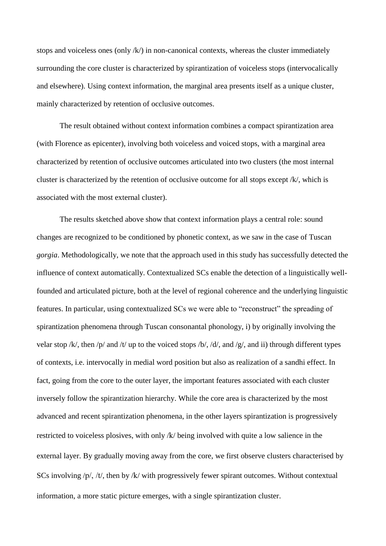stops and voiceless ones (only /k/) in non-canonical contexts, whereas the cluster immediately surrounding the core cluster is characterized by spirantization of voiceless stops (intervocalically and elsewhere). Using context information, the marginal area presents itself as a unique cluster, mainly characterized by retention of occlusive outcomes.

The result obtained without context information combines a compact spirantization area (with Florence as epicenter), involving both voiceless and voiced stops, with a marginal area characterized by retention of occlusive outcomes articulated into two clusters (the most internal cluster is characterized by the retention of occlusive outcome for all stops except /k/, which is associated with the most external cluster).

The results sketched above show that context information plays a central role: sound changes are recognized to be conditioned by phonetic context, as we saw in the case of Tuscan *gorgia*. Methodologically, we note that the approach used in this study has successfully detected the influence of context automatically. Contextualized SCs enable the detection of a linguistically wellfounded and articulated picture, both at the level of regional coherence and the underlying linguistic features. In particular, using contextualized SCs we were able to "reconstruct" the spreading of spirantization phenomena through Tuscan consonantal phonology, i) by originally involving the velar stop /k/, then /p/ and /t/ up to the voiced stops /b/, /d/, and /g/, and ii) through different types of contexts, i.e. intervocally in medial word position but also as realization of a sandhi effect. In fact, going from the core to the outer layer, the important features associated with each cluster inversely follow the spirantization hierarchy. While the core area is characterized by the most advanced and recent spirantization phenomena, in the other layers spirantization is progressively restricted to voiceless plosives, with only  $/k$  being involved with quite a low salience in the external layer. By gradually moving away from the core, we first observe clusters characterised by SCs involving  $/p/$ ,  $/t/$ , then by  $/k/$  with progressively fewer spirant outcomes. Without contextual information, a more static picture emerges, with a single spirantization cluster.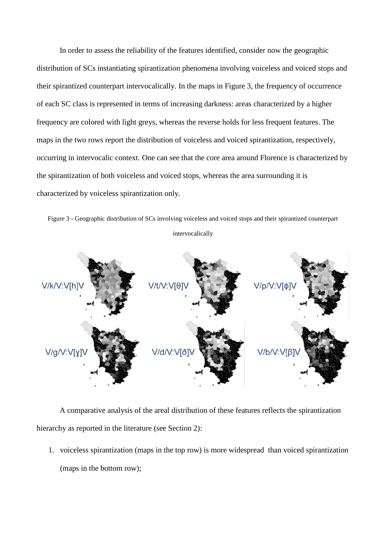In order to assess the reliability of the features identified, consider now the geographic distribution of SCs instantiating spirantization phenomena involving voiceless and voiced stops and their spirantized counterpart intervocalically. In the maps in Figure 3, the frequency of occurrence of each SC class is represented in terms of increasing darkness: areas characterized by a higher frequency are colored with light greys, whereas the reverse holds for less frequent features. The maps in the two rows report the distribution of voiceless and voiced spirantization, respectively, occurring in intervocalic context. One can see that the core area around Florence is characterized by the spirantization of both voiceless and voiced stops, whereas the area surrounding it is characterized by voiceless spirantization only.

Figure 3 - Geographic distribution of SCs involving voiceless and voiced stops and their spirantized counterpart intervocalically



A comparative analysis of the areal distribution of these features reflects the spirantization hierarchy as reported in the literature (see Section 2):

1. voiceless spirantization (maps in the top row) is more widespread than voiced spirantization (maps in the bottom row);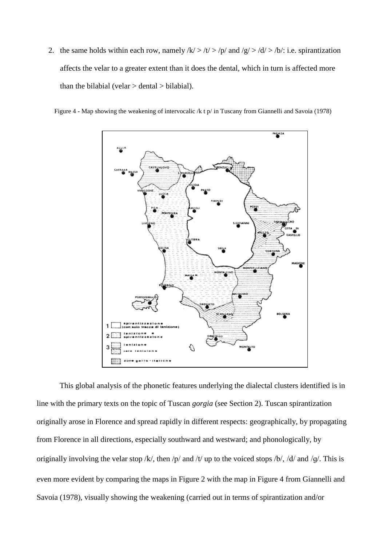2. the same holds within each row, namely  $/k$  >  $/t$  >  $/t$  and  $/g$  >  $/d$  >  $/b$ : i.e. spirantization affects the velar to a greater extent than it does the dental, which in turn is affected more than the bilabial (velar  $>$  dental  $>$  bilabial).

Figure 4 - Map showing the weakening of intervocalic /k t p/ in Tuscany from Giannelli and Savoia (1978)



This global analysis of the phonetic features underlying the dialectal clusters identified is in line with the primary texts on the topic of Tuscan *gorgia* (see Section 2). Tuscan spirantization originally arose in Florence and spread rapidly in different respects: geographically, by propagating from Florence in all directions, especially southward and westward; and phonologically, by originally involving the velar stop /k/, then /p/ and /t/ up to the voiced stops /b/, /d/ and /g/. This is even more evident by comparing the maps in Figure 2 with the map in Figure 4 from Giannelli and Savoia (1978), visually showing the weakening (carried out in terms of spirantization and/or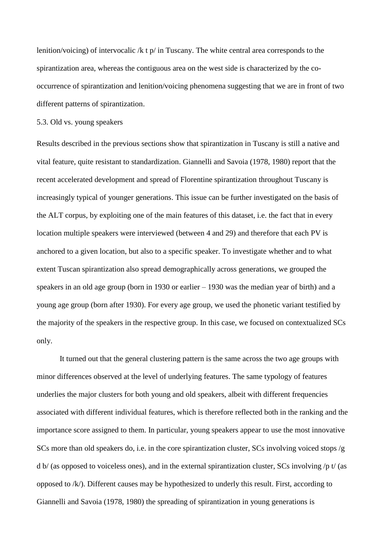lenition/voicing) of intervocalic /k t p/ in Tuscany. The white central area corresponds to the spirantization area, whereas the contiguous area on the west side is characterized by the cooccurrence of spirantization and lenition/voicing phenomena suggesting that we are in front of two different patterns of spirantization.

5.3. Old vs. young speakers

Results described in the previous sections show that spirantization in Tuscany is still a native and vital feature, quite resistant to standardization. Giannelli and Savoia (1978, 1980) report that the recent accelerated development and spread of Florentine spirantization throughout Tuscany is increasingly typical of younger generations. This issue can be further investigated on the basis of the ALT corpus, by exploiting one of the main features of this dataset, i.e. the fact that in every location multiple speakers were interviewed (between 4 and 29) and therefore that each PV is anchored to a given location, but also to a specific speaker. To investigate whether and to what extent Tuscan spirantization also spread demographically across generations, we grouped the speakers in an old age group (born in 1930 or earlier – 1930 was the median year of birth) and a young age group (born after 1930). For every age group, we used the phonetic variant testified by the majority of the speakers in the respective group. In this case, we focused on contextualized SCs only.

It turned out that the general clustering pattern is the same across the two age groups with minor differences observed at the level of underlying features. The same typology of features underlies the major clusters for both young and old speakers, albeit with different frequencies associated with different individual features, which is therefore reflected both in the ranking and the importance score assigned to them. In particular, young speakers appear to use the most innovative SCs more than old speakers do, i.e. in the core spirantization cluster, SCs involving voiced stops /g d b/ (as opposed to voiceless ones), and in the external spirantization cluster, SCs involving /p t/ (as opposed to /k/). Different causes may be hypothesized to underly this result. First, according to Giannelli and Savoia (1978, 1980) the spreading of spirantization in young generations is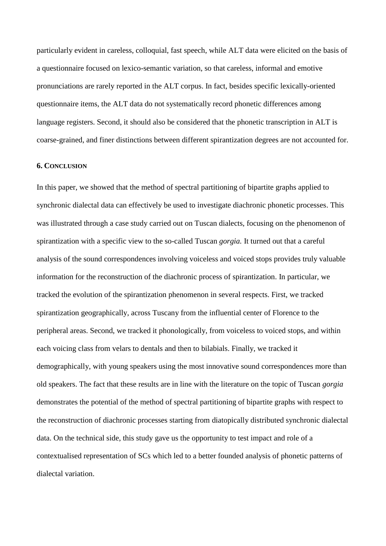particularly evident in careless, colloquial, fast speech, while ALT data were elicited on the basis of a questionnaire focused on lexico-semantic variation, so that careless, informal and emotive pronunciations are rarely reported in the ALT corpus. In fact, besides specific lexically-oriented questionnaire items, the ALT data do not systematically record phonetic differences among language registers. Second, it should also be considered that the phonetic transcription in ALT is coarse-grained, and finer distinctions between different spirantization degrees are not accounted for.

#### **6. CONCLUSION**

In this paper, we showed that the method of spectral partitioning of bipartite graphs applied to synchronic dialectal data can effectively be used to investigate diachronic phonetic processes. This was illustrated through a case study carried out on Tuscan dialects, focusing on the phenomenon of spirantization with a specific view to the so-called Tuscan *gorgia.* It turned out that a careful analysis of the sound correspondences involving voiceless and voiced stops provides truly valuable information for the reconstruction of the diachronic process of spirantization. In particular, we tracked the evolution of the spirantization phenomenon in several respects. First, we tracked spirantization geographically, across Tuscany from the influential center of Florence to the peripheral areas. Second, we tracked it phonologically, from voiceless to voiced stops, and within each voicing class from velars to dentals and then to bilabials. Finally, we tracked it demographically, with young speakers using the most innovative sound correspondences more than old speakers. The fact that these results are in line with the literature on the topic of Tuscan *gorgia* demonstrates the potential of the method of spectral partitioning of bipartite graphs with respect to the reconstruction of diachronic processes starting from diatopically distributed synchronic dialectal data. On the technical side, this study gave us the opportunity to test impact and role of a contextualised representation of SCs which led to a better founded analysis of phonetic patterns of dialectal variation.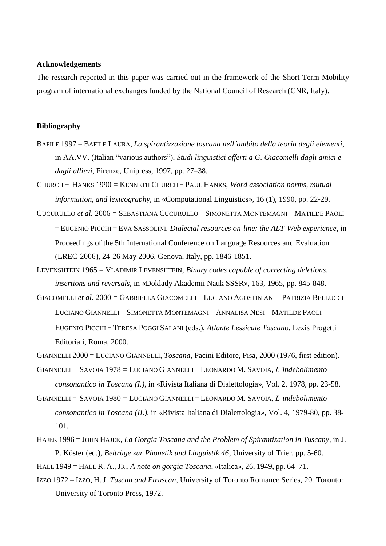# **Acknowledgements**

The research reported in this paper was carried out in the framework of the Short Term Mobility program of international exchanges funded by the National Council of Research (CNR, Italy).

#### **Bibliography**

BAFILE 1997 = BAFILE LAURA, *La spirantizzazione toscana nell'ambito della teoria degli elementi*, in AA.VV. (Italian "various authors"), *Studi linguistici offerti a G. Giacomelli dagli amici e dagli allievi*, Firenze, Unipress, 1997, pp. 27–38.

CHURCH ‒ HANKS 1990 = KENNETH CHURCH ‒ PAUL HANKS, *Word association norms, mutual information, and lexicography*, in «Computational Linguistics», 16 (1), 1990, pp. 22-29.

- CUCURULLO *et al.* 2006 = SEBASTIANA CUCURULLO SIMONETTA MONTEMAGNI MATILDE PAOLI ‒ EUGENIO PICCHI ‒ EVA SASSOLINI, *Dialectal resources on-line: the ALT-Web experience*, in Proceedings of the 5th International Conference on Language Resources and Evaluation (LREC-2006), 24-26 May 2006, Genova, Italy, pp. 1846-1851.
- LEVENSHTEIN 1965 = VLADIMIR LEVENSHTEIN, *Binary codes capable of correcting deletions, insertions and reversals*, in «Doklady Akademii Nauk SSSR», 163, 1965, pp. 845-848.
- GIACOMELLI *et al.* 2000 = GABRIELLA GIACOMELLI LUCIANO AGOSTINIANI PATRIZIA BELLUCCI LUCIANO GIANNELLI - SIMONETTA MONTEMAGNI - ANNALISA NESI - MATILDE PAOLI -EUGENIO PICCHI ‒ TERESA POGGI SALANI (eds.), *Atlante Lessicale Toscano*, Lexis Progetti Editoriali, Roma, 2000.

GIANNELLI 2000 = LUCIANO GIANNELLI, *Toscana*, Pacini Editore, Pisa, 2000 (1976, first edition).

- GIANNELLI ‒ SAVOIA 1978 = LUCIANO GIANNELLI ‒ LEONARDO M. SAVOIA, *L'indebolimento consonantico in Toscana (I.)*, in «Rivista Italiana di Dialettologia», Vol. 2, 1978, pp. 23-58.
- GIANNELLI ‒ SAVOIA 1980 = LUCIANO GIANNELLI ‒ LEONARDO M. SAVOIA, *L'indebolimento consonantico in Toscana (II.)*, in «Rivista Italiana di Dialettologia», Vol. 4, 1979-80, pp. 38- 101.
- HAJEK 1996 = JOHN HAJEK, *La Gorgia Toscana and the Problem of Spirantization in Tuscany*, in J.- P. Köster (ed.), *Beiträge zur Phonetik und Linguistik 46*, University of Trier, pp. 5-60.

HALL 1949 = HALL R. A., JR., *A note on gorgia Toscana*, «Italica», 26, 1949, pp. 64–71.

IZZO 1972 = IZZO, H. J. *Tuscan and Etruscan*, University of Toronto Romance Series, 20. Toronto: University of Toronto Press, 1972.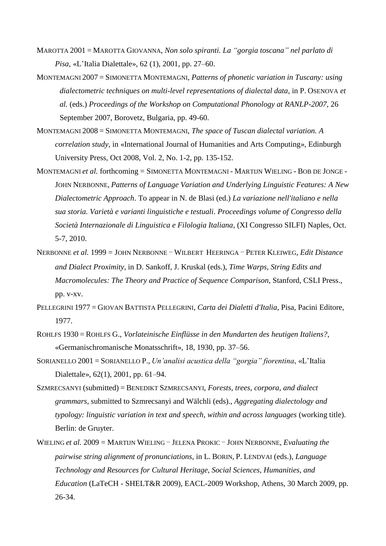- MAROTTA 2001 = MAROTTA GIOVANNA, *Non solo spiranti. La "gorgia toscana" nel parlato di Pisa*, «L"Italia Dialettale», 62 (1), 2001, pp. 27–60.
- MONTEMAGNI 2007 = SIMONETTA MONTEMAGNI, *Patterns of phonetic variation in Tuscany: using dialectometric techniques on multi-level representations of dialectal data*, in P. OSENOVA *et al.* (eds.) *Proceedings of the Workshop on Computational Phonology at RANLP-2007*, 26 September 2007, Borovetz, Bulgaria, pp. 49-60.
- MONTEMAGNI 2008 = SIMONETTA MONTEMAGNI, *The space of Tuscan dialectal variation. A correlation study*, in «International Journal of Humanities and Arts Computing», Edinburgh University Press, Oct 2008, Vol. 2, No. 1-2, pp. 135-152.
- MONTEMAGNI *et al.* forthcoming = SIMONETTA MONTEMAGNI MARTIJN WIELING BOB DE JONGE JOHN NERBONNE, *Patterns of Language Variation and Underlying Linguistic Features: A New Dialectometric Approach*. To appear in N. de Blasi (ed.) *La variazione nell'italiano e nella sua storia. Varietà e varianti linguistiche e testuali. Proceedings volume of Congresso della Società Internazionale di Linguistica e Filologia Italiana*, (XI Congresso SILFI) Naples, Oct. 5-7, 2010.
- NERBONNE *et al.* 1999 = JOHN NERBONNE WILBERT HEERINGA PETER KLEIWEG, *Edit Distance and Dialect Proximity*, in D. Sankoff, J. Kruskal (eds.), *Time Warps, String Edits and Macromolecules: The Theory and Practice of Sequence Comparison*, Stanford, CSLI Press., pp. v-xv.
- PELLEGRINI 1977 = GIOVAN BATTISTA PELLEGRINI, *Carta dei Dialetti d'Italia*, Pisa, Pacini Editore, 1977.
- ROHLFS 1930 = ROHLFS G., *Vorlateinische Einflüsse in den Mundarten des heutigen Italiens?*, «Germanischromanische Monatsschrift», 18, 1930, pp. 37–56.
- SORIANELLO 2001 = SORIANELLO P., *Un'analisi acustica della "gorgia" fiorentina*, «L"Italia Dialettale», 62(1), 2001, pp. 61–94.
- SZMRECSANYI (submitted) = BENEDIKT SZMRECSANYI, *Forests, trees, corpora, and dialect grammars*, submitted to Szmrecsanyi and Wälchli (eds)., *Aggregating dialectology and typology: linguistic variation in text and speech, within and across languages* (working title). Berlin: de Gruyter.
- WIELING *et al.* 2009 = MARTIJN WIELING JELENA PROKIC JOHN NERBONNE, *Evaluating the pairwise string alignment of pronunciations*, in L. BORIN, P. LENDVAI (eds.), *Language Technology and Resources for Cultural Heritage, Social Sciences, Humanities, and Education* (LaTeCH - SHELT&R 2009), EACL-2009 Workshop, Athens, 30 March 2009, pp. 26-34.